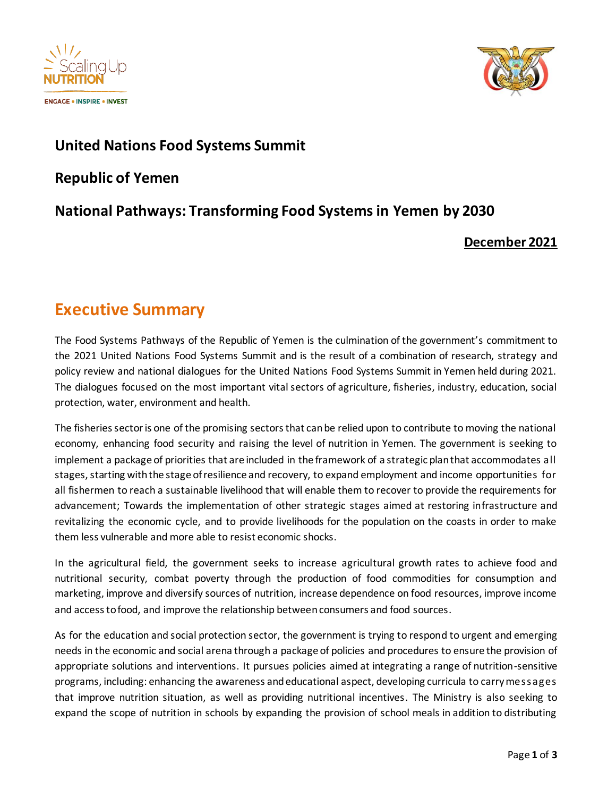



## **United Nations Food Systems Summit**

**Republic of Yemen**

## **National Pathways: Transforming Food Systems in Yemen by 2030**

### **December 2021**

# **Executive Summary**

The Food Systems Pathways of the Republic of Yemen is the culmination of the government's commitment to the 2021 United Nations Food Systems Summit and is the result of a combination of research, strategy and policy review and national dialogues for the United Nations Food Systems Summit in Yemen held during 2021. The dialogues focused on the most important vital sectors of agriculture, fisheries, industry, education, social protection, water, environment and health.

The fisheries sector is one of the promising sectors that can be relied upon to contribute to moving the national economy, enhancing food security and raising the level of nutrition in Yemen. The government is seeking to implement a package of priorities that are included in the framework of a strategic plan that accommodates all stages, starting with the stage of resilience and recovery, to expand employment and income opportunities for all fishermen to reach a sustainable livelihood that will enable them to recover to provide the requirements for advancement; Towards the implementation of other strategic stages aimed at restoring infrastructure and revitalizing the economic cycle, and to provide livelihoods for the population on the coasts in order to make them less vulnerable and more able to resist economic shocks.

In the agricultural field, the government seeks to increase agricultural growth rates to achieve food and nutritional security, combat poverty through the production of food commodities for consumption and marketing, improve and diversify sources of nutrition, increase dependence on food resources, improve income and access to food, and improve the relationship between consumers and food sources.

As for the education and social protection sector, the government is trying to respond to urgent and emerging needs in the economic and social arena through a package of policies and procedures to ensure the provision of appropriate solutions and interventions. It pursues policies aimed at integrating a range of nutrition-sensitive programs, including: enhancing the awareness and educational aspect, developing curricula to carry messages that improve nutrition situation, as well as providing nutritional incentives. The Ministry is also seeking to expand the scope of nutrition in schools by expanding the provision of school meals in addition to distributing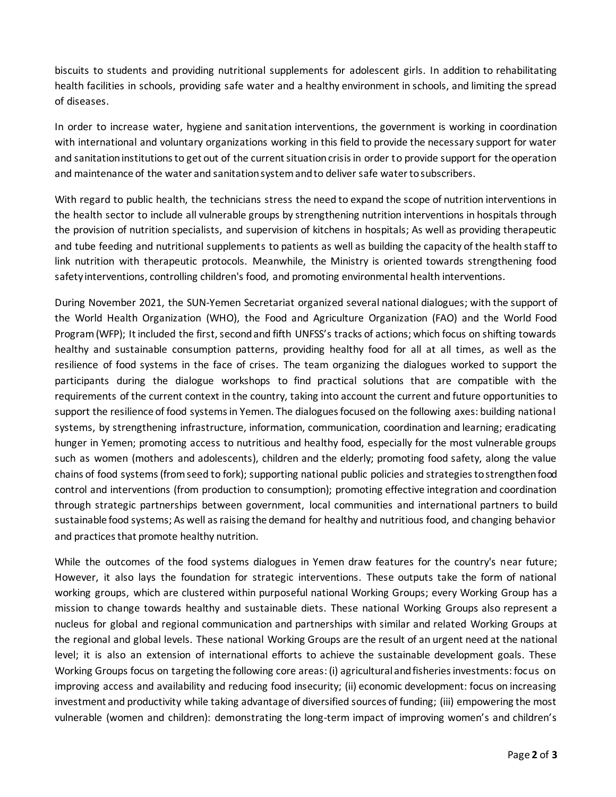biscuits to students and providing nutritional supplements for adolescent girls. In addition to rehabilitating health facilities in schools, providing safe water and a healthy environment in schools, and limiting the spread of diseases.

In order to increase water, hygiene and sanitation interventions, the government is working in coordination with international and voluntary organizations working in this field to provide the necessary support for water and sanitation institutions to get out of the current situation crisis in order to provide support for the operation and maintenance of the water and sanitation system and to deliver safe water to subscribers.

With regard to public health, the technicians stress the need to expand the scope of nutrition interventions in the health sector to include all vulnerable groups by strengthening nutrition interventions in hospitals through the provision of nutrition specialists, and supervision of kitchens in hospitals; As well as providing therapeutic and tube feeding and nutritional supplements to patients as well as building the capacity of the health staff to link nutrition with therapeutic protocols. Meanwhile, the Ministry is oriented towards strengthening food safety interventions, controlling children's food, and promoting environmental health interventions.

During November 2021, the SUN-Yemen Secretariat organized several national dialogues; with the support of the World Health Organization (WHO), the Food and Agriculture Organization (FAO) and the World Food Program(WFP); It included the first, second and fifth UNFSS's tracks of actions; which focus on shifting towards healthy and sustainable consumption patterns, providing healthy food for all at all times, as well as the resilience of food systems in the face of crises. The team organizing the dialogues worked to support the participants during the dialogue workshops to find practical solutions that are compatible with the requirements of the current context in the country, taking into account the current and future opportunities to support the resilience of food systems in Yemen. The dialogues focused on the following axes: building national systems, by strengthening infrastructure, information, communication, coordination and learning; eradicating hunger in Yemen; promoting access to nutritious and healthy food, especially for the most vulnerable groups such as women (mothers and adolescents), children and the elderly; promoting food safety, along the value chains of food systems (from seed to fork); supporting national public policies and strategies to strengthen food control and interventions (from production to consumption); promoting effective integration and coordination through strategic partnerships between government, local communities and international partners to build sustainable food systems; As well as raising the demand for healthy and nutritious food, and changing behavior and practices that promote healthy nutrition.

While the outcomes of the food systems dialogues in Yemen draw features for the country's near future; However, it also lays the foundation for strategic interventions. These outputs take the form of national working groups, which are clustered within purposeful national Working Groups; every Working Group has a mission to change towards healthy and sustainable diets. These national Working Groups also represent a nucleus for global and regional communication and partnerships with similar and related Working Groups at the regional and global levels. These national Working Groups are the result of an urgent need at the national level; it is also an extension of international efforts to achieve the sustainable development goals. These Working Groups focus on targeting the following core areas: (i) agricultural and fisheries investments: focus on improving access and availability and reducing food insecurity; (ii) economic development: focus on increasing investment and productivity while taking advantage of diversified sources of funding; (iii) empowering the most vulnerable (women and children): demonstrating the long-term impact of improving women's and children's